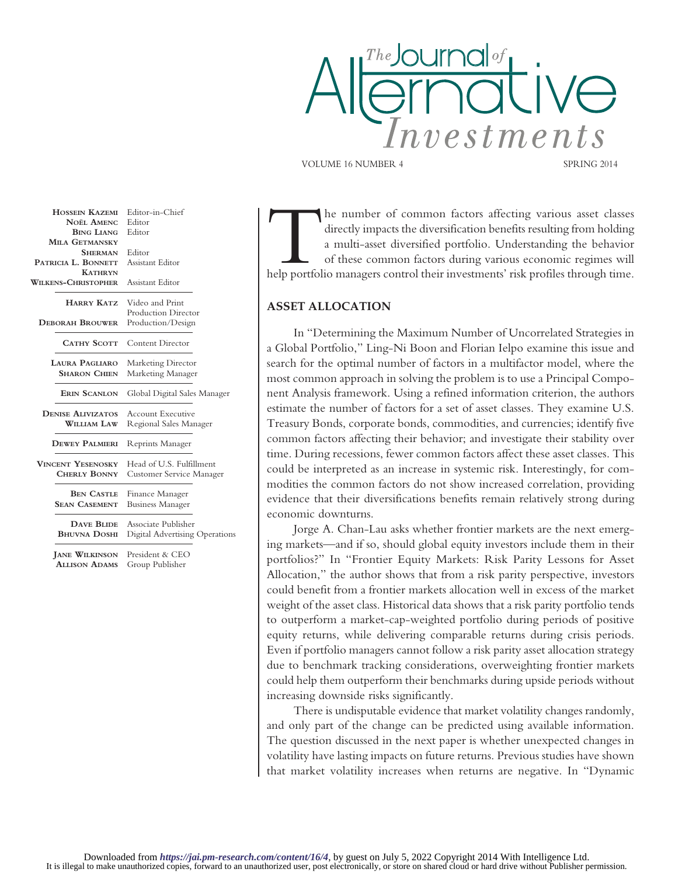

VOLUME 16 NUMBER 4 SPRING 2014

The number of common factors affecting various asset classes<br>
directly impacts the diversification benefits resulting from holding<br>
a multi-asset diversified portfolio. Understanding the behavior<br>
of these common factors d directly impacts the diversification benefits resulting from holding a multi-asset diversified portfolio. Understanding the behavior of these common factors during various economic regimes will

## **ASSET ALLOCATION**

In "Determining the Maximum Number of Uncorrelated Strategies in a Global Portfolio," Ling-Ni Boon and Florian Ielpo examine this issue and search for the optimal number of factors in a multifactor model, where the most common approach in solving the problem is to use a Principal Component Analysis framework. Using a refined information criterion, the authors estimate the number of factors for a set of asset classes. They examine U.S. Treasury Bonds, corporate bonds, commodities, and currencies; identify five common factors affecting their behavior; and investigate their stability over time. During recessions, fewer common factors affect these asset classes. This could be interpreted as an increase in systemic risk. Interestingly, for commodities the common factors do not show increased correlation, providing evidence that their diversifications benefits remain relatively strong during economic downturns.

Jorge A. Chan-Lau asks whether frontier markets are the next emerging markets—and if so, should global equity investors include them in their portfolios?" In "Frontier Equity Markets: Risk Parity Lessons for Asset Allocation," the author shows that from a risk parity perspective, investors could benefit from a frontier markets allocation well in excess of the market weight of the asset class. Historical data shows that a risk parity portfolio tends to outperform a market-cap-weighted portfolio during periods of positive equity returns, while delivering comparable returns during crisis periods. Even if portfolio managers cannot follow a risk parity asset allocation strategy due to benchmark tracking considerations, overweighting frontier markets could help them outperform their benchmarks during upside periods without increasing downside risks significantly.

There is undisputable evidence that market volatility changes randomly, and only part of the change can be predicted using available information. The question discussed in the next paper is whether unexpected changes in volatility have lasting impacts on future returns. Previous studies have shown that market volatility increases when returns are negative. In "Dynamic

**HOSSEIN KAZEMI** Editor-in-Chief<br>NOËL AMENC Editor **NOËL AMENC BING LIANG** Editor  **MILA GETMANSKY SHERMAN** Editor<br>**BONNETT** Assistant Editor **PATRICIA L. BONNETT KATHRYN WILKENS-CHRISTOPHER** Assistant Editor  **HARRY KATZ** Video and Print Production Director<br> **DERORAH BROUWER** Production/Design Production/Design **CATHY SCOTT** Content Director **LAURA PAGLIARO** Marketing Director<br>**SHARON CHIEN** Marketing Manager **Marketing Manager ERIN SCANLON** Global Digital Sales Manager **DENISE ALIVIZATOS** Account Executive<br>WILLIAM LAW Regional Sales Mar **Regional Sales Manager DEWEY PALMIERI** Reprints Manager **VINCENT YESENOSKY** Head of U.S. Fulfillment<br> **CHERLY BONNY** Customer Service Manag **Customer Service Manager BEN CASTLE** Finance Manager **SEAN CASEMENT** Business Manager **DAVE BLIDE** Associate Publisher **BHUVNA DOSHI** Digital Advertising Operations  **JANE WILKINSON** President & CEO  **ALLISON ADAMS** Group Publisher